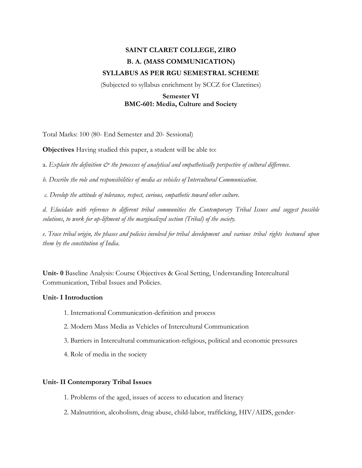# **SAINT CLARET COLLEGE, ZIRO B. A. (MASS COMMUNICATION) SYLLABUS AS PER RGU SEMESTRAL SCHEME**

(Subjected to syllabus enrichment by SCCZ for Claretines)

# **Semester VI BMC-601: Media, Culture and Society**

Total Marks: 100 (80- End Semester and 20- Sessional)

**Objectives** Having studied this paper, a student will be able to:

a. *Explain the definition*  $\mathcal{Q}^*$  *the processes of analytical and empathetically perspective of cultural difference.* 

*b. Describe the role and responsibilities of media as vehicles of Intercultural Communication.*

*c. Develop the attitude of tolerance, respect, curious, empathetic toward other culture.*

*d. Elucidate with reference to different tribal communities the Contemporary Tribal Issues and suggest possible solutions*, *to work for up-liftment of the marginalized section (Tribal) of the society.*

*e. Trace tribal origin, the phases and policies involved for tribal development and various tribal rights bestowed upon them by the constitution of India.*

**Unit- 0** Baseline Analysis: Course Objectives & Goal Setting, Understanding Intercultural Communication, Tribal Issues and Policies.

## **Unit- I Introduction**

- 1. International Communication-definition and process
- 2. Modern Mass Media as Vehicles of Intercultural Communication
- 3. Barriers in Intercultural communication-religious, political and economic pressures
- 4. Role of media in the society

#### **Unit- II Contemporary Tribal Issues**

- 1. Problems of the aged, issues of access to education and literacy
- 2. Malnutrition, alcoholism, drug abuse, child-labor, trafficking, HIV/AIDS, gender-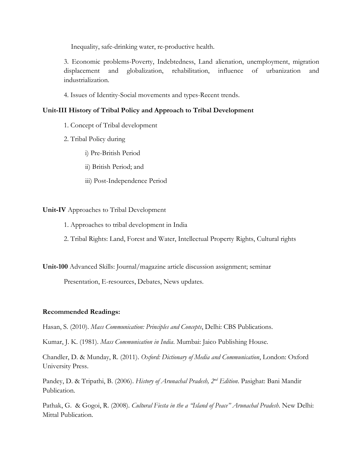Inequality, safe-drinking water, re-productive health.

3. Economic problems-Poverty, Indebtedness, Land alienation, unemployment, migration displacement and globalization, rehabilitation, influence of urbanization and industrialization.

4. Issues of Identity-Social movements and types-Recent trends.

# **Unit-III History of Tribal Policy and Approach to Tribal Development**

- 1. Concept of Tribal development
- 2. Tribal Policy during
	- i) Pre-British Period
	- ii) British Period; and
	- iii) Post-Independence Period

## **Unit-IV** Approaches to Tribal Development

- 1. Approaches to tribal development in India
- 2. Tribal Rights: Land, Forest and Water, Intellectual Property Rights, Cultural rights

**Unit-100** Advanced Skills: Journal/magazine article discussion assignment; seminar

Presentation, E-resources, Debates, News updates.

## **Recommended Readings:**

Hasan, S. (2010). *Mass Communication: Principles and Concepts*, Delhi: CBS Publications.

Kumar, J. K. (1981). *Mass Communication in India*. Mumbai: Jaico Publishing House.

Chandler, D. & Munday, R. (2011). *Oxford: Dictionary of Media and Communication*, London: Oxford University Press.

Pandey, D. & Tripathi, B. (2006). *History of Arunachal Pradesh, 2nd Edition*. Pasighat: Bani Mandir Publication.

Pathak, G. & Gogoi, R. (2008). *Cultural Fiesta in the a "Island of Peace" Arunachal Pradesh*. New Delhi: Mittal Publication.